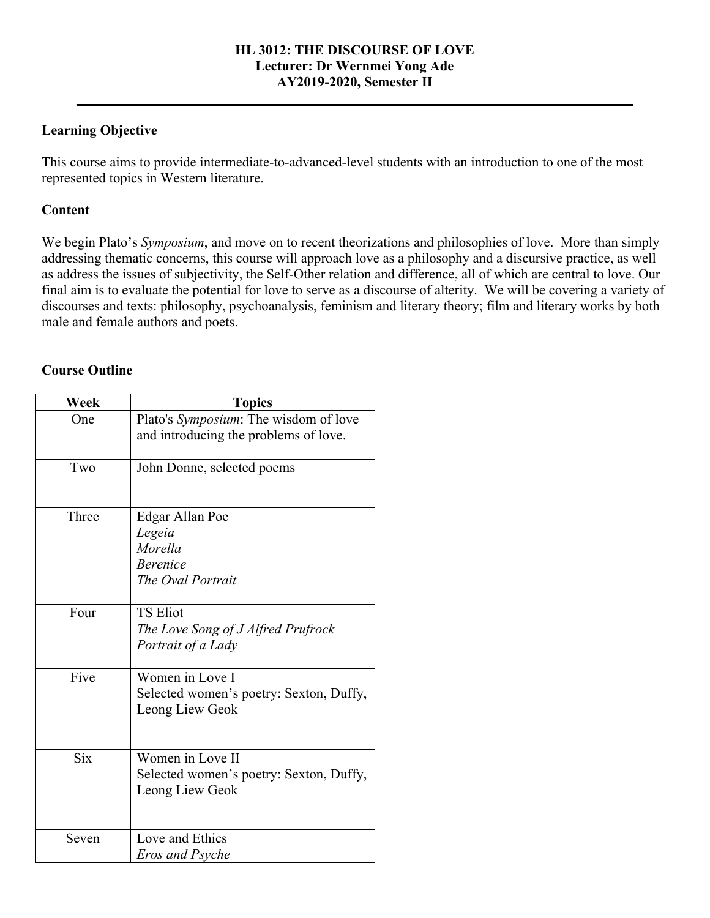### **HL 3012: THE DISCOURSE OF LOVE Lecturer: Dr Wernmei Yong Ade AY2019-2020, Semester II**

**\_\_\_\_\_\_\_\_\_\_\_\_\_\_\_\_\_\_\_\_\_\_\_\_\_\_\_\_\_\_\_\_\_\_\_\_\_\_\_\_\_\_\_\_\_\_\_\_\_\_\_\_\_\_\_\_\_\_\_\_\_\_\_\_\_\_\_\_\_\_\_\_\_\_\_\_\_\_\_\_**

# **Learning Objective**

This course aims to provide intermediate-to-advanced-level students with an introduction to one of the most represented topics in Western literature.

# **Content**

We begin Plato's *Symposium*, and move on to recent theorizations and philosophies of love. More than simply addressing thematic concerns, this course will approach love as a philosophy and a discursive practice, as well as address the issues of subjectivity, the Self-Other relation and difference, all of which are central to love. Our final aim is to evaluate the potential for love to serve as a discourse of alterity. We will be covering a variety of discourses and texts: philosophy, psychoanalysis, feminism and literary theory; film and literary works by both male and female authors and poets.

### **Course Outline**

| Week       | <b>Topics</b>                                                                          |
|------------|----------------------------------------------------------------------------------------|
| One        | Plato's <i>Symposium</i> : The wisdom of love<br>and introducing the problems of love. |
| Two        | John Donne, selected poems                                                             |
| Three      | Edgar Allan Poe<br>Legeia<br>Morella<br><b>Berenice</b><br>The Oval Portrait           |
| Four       | <b>TS Eliot</b><br>The Love Song of J Alfred Prufrock<br>Portrait of a Lady            |
| Five       | Women in Love I<br>Selected women's poetry: Sexton, Duffy,<br>Leong Liew Geok          |
| <b>Six</b> | Women in Love II<br>Selected women's poetry: Sexton, Duffy,<br>Leong Liew Geok         |
| Seven      | Love and Ethics<br>Eros and Psyche                                                     |